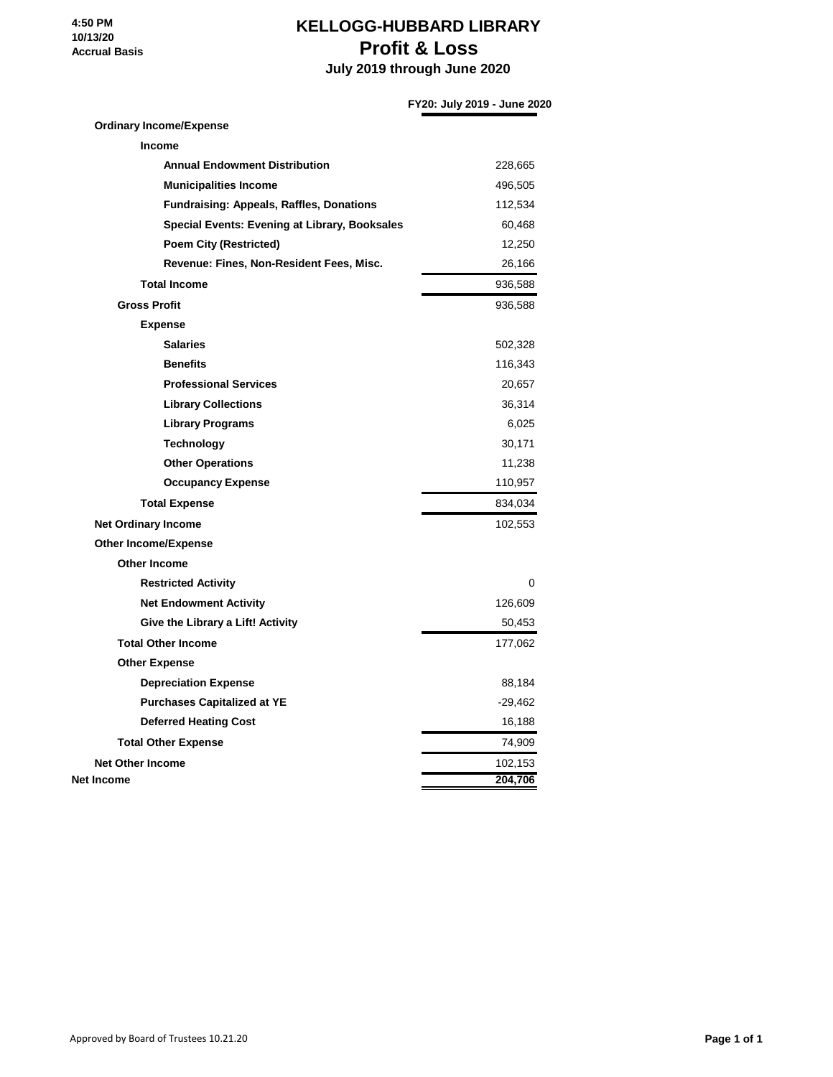**4:50 PM 10/13/20 Accrual Basis**

#### **KELLOGG-HUBBARD LIBRARY Profit & Loss**

 **July 2019 through June 2020**

#### **FY20: July 2019 - June 2020**

### **Ordinary Income/Expense Income Annual Endowment Distribution** 228,665 **Municipalities Income** 496,505 **Fundraising: Appeals, Raffles, Donations** 112,534 **Special Events: Evening at Library, Booksales** 60,468 **Poem City (Restricted)** 12,250 Revenue: Fines, Non-Resident Fees, Misc. 26,166 **Total Income** 936,588 **Gross Profit** 936,588 **Expense Salaries** 502,328 **Benefits** 116,343 **Professional Services** 20,657 **Library Collections** 36,314 **Library Programs** 6,025 **Technology** 30,171 **Other Operations** 11,238 **Occupancy Expense** 110,957 **Total Expense** 834,034 **Net Ordinary Income** 102,553 **Other Income/Expense Other Income Restricted Activity** 0 **Net Endowment Activity** 126,609 Give the Library a Lift! Activity **60.453 Total Other Income** 177,062 **Other Expense Depreciation Expense** 88,184 **Purchases Capitalized at YE** -29,462 **Deferred Heating Cost** 16,188 **Total Other Expense** 74,909 **Net Other Income** 102,153 **Net Income 204,706**